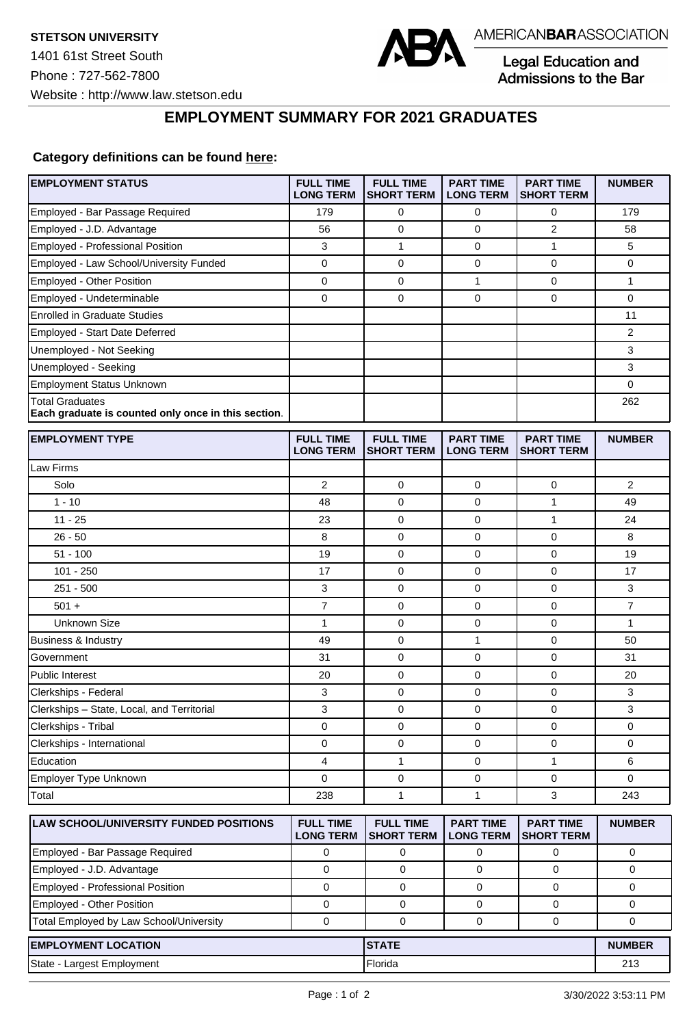

Legal Education and<br>Admissions to the Bar

**EMPLOYMENT SUMMARY FOR 2021 GRADUATES**

## **Category definitions can be found [here:](https://www.americanbar.org/content/dam/aba/administrative/legal_education_and_admissions_to_the_bar/Questionnaires/2021/2022-employment-protocols-for-the-class-of-2021-september-2021.pdf)**

| Employed - Bar Passage Required<br>179<br>0<br>0<br>0<br>179<br>$\overline{2}$<br>0<br>Employed - J.D. Advantage<br>56<br>0<br>58<br>Employed - Professional Position<br>1<br>1<br>5<br>3<br>0<br>Employed - Law School/University Funded<br>$\mathbf 0$<br>0<br>$\mathbf 0$<br>$\mathbf 0$<br>0<br>Employed - Other Position<br>0<br>0<br>1<br>0<br>1<br>$\mathbf 0$<br>0<br>0<br>$\mathbf 0$<br>0<br>Employed - Undeterminable<br><b>Enrolled in Graduate Studies</b><br>11<br>Employed - Start Date Deferred<br>2<br>3<br>Unemployed - Not Seeking<br>3<br>Unemployed - Seeking<br><b>Employment Status Unknown</b><br>0<br><b>Total Graduates</b><br>262<br>Each graduate is counted only once in this section.<br><b>EMPLOYMENT TYPE</b><br><b>FULL TIME</b><br><b>FULL TIME</b><br><b>PART TIME</b><br><b>PART TIME</b><br><b>NUMBER</b><br><b>LONG TERM</b><br><b>SHORT TERM</b><br><b>LONG TERM</b><br><b>SHORT TERM</b><br>Law Firms<br>Solo<br>$\overline{2}$<br>$\mathbf 0$<br>2<br>0<br>0<br>$1 - 10$<br>0<br>$\mathbf{1}$<br>48<br>0<br>49<br>$11 - 25$<br>0<br>$\mathbf{1}$<br>23<br>0<br>24<br>$26 - 50$<br>$\mathbf 0$<br>$\mathbf 0$<br>8<br>0<br>8<br>0<br>0<br>$51 - 100$<br>19<br>0<br>19<br>$101 - 250$<br>17<br>0<br>$\mathbf 0$<br>0<br>17<br>$251 - 500$<br>0<br>$\mathbf 0$<br>3<br>3<br>0<br>$\overline{7}$<br>$\overline{7}$<br>$501 +$<br>0<br>0<br>$\mathbf 0$<br><b>Unknown Size</b><br>0<br>$\mathbf 0$<br>$\mathbf{1}$<br>$\mathbf{1}$<br>0<br>Business & Industry<br>49<br>0<br>1<br>$\mathbf 0$<br>50<br>$\mathbf 0$<br>$\mathbf 0$<br>31<br>0<br>31<br>Government<br>0<br><b>Public Interest</b><br>20<br>0<br>0<br>20<br>$\mathbf 0$<br>3<br>0<br>$\mathbf 0$<br>Clerkships - Federal<br>3<br>Clerkships - State, Local, and Territorial<br>3<br>$\mathbf 0$<br>0<br>3<br>0<br>Clerkships - Tribal<br>0<br>0<br>$\mathbf 0$<br>0<br>0<br>Clerkships - International<br>0<br>0<br>0<br>0<br>0<br>Education<br>$\mathbf{1}$<br>1<br>6<br>4<br>0<br>Employer Type Unknown<br>0<br>0<br>0<br>0<br>0<br>Total<br>1<br>3<br>238<br>1<br>243<br>LAW SCHOOL/UNIVERSITY FUNDED POSITIONS<br><b>FULL TIME</b><br><b>FULL TIME</b><br><b>PART TIME</b><br><b>PART TIME</b><br><b>NUMBER</b><br><b>LONG TERM</b><br><b>SHORT TERM</b><br><b>LONG TERM</b><br><b>SHORT TERM</b><br>Employed - Bar Passage Required<br>0<br>0<br>0<br>0<br>0<br>Employed - J.D. Advantage<br>$\mathbf 0$<br>0<br>0<br>0<br>0<br>Employed - Professional Position<br>$\mathbf 0$<br>0<br>$\mathbf 0$<br>0<br>0<br>Employed - Other Position<br>0<br>0<br>0<br>0<br>0<br>Total Employed by Law School/University<br>$\mathbf 0$<br>$\mathbf 0$<br>$\mathbf 0$<br>$\mathbf 0$<br>$\mathbf 0$<br><b>EMPLOYMENT LOCATION</b><br><b>STATE</b><br><b>NUMBER</b><br>State - Largest Employment<br>Florida<br>213 | <b>EMPLOYMENT STATUS</b> | <b>FULL TIME</b><br><b>LONG TERM</b> | <b>FULL TIME</b><br><b>SHORT TERM</b> | <b>PART TIME</b><br><b>LONG TERM</b> | <b>PART TIME</b><br><b>SHORT TERM</b> | <b>NUMBER</b> |
|----------------------------------------------------------------------------------------------------------------------------------------------------------------------------------------------------------------------------------------------------------------------------------------------------------------------------------------------------------------------------------------------------------------------------------------------------------------------------------------------------------------------------------------------------------------------------------------------------------------------------------------------------------------------------------------------------------------------------------------------------------------------------------------------------------------------------------------------------------------------------------------------------------------------------------------------------------------------------------------------------------------------------------------------------------------------------------------------------------------------------------------------------------------------------------------------------------------------------------------------------------------------------------------------------------------------------------------------------------------------------------------------------------------------------------------------------------------------------------------------------------------------------------------------------------------------------------------------------------------------------------------------------------------------------------------------------------------------------------------------------------------------------------------------------------------------------------------------------------------------------------------------------------------------------------------------------------------------------------------------------------------------------------------------------------------------------------------------------------------------------------------------------------------------------------------------------------------------------------------------------------------------------------------------------------------------------------------------------------------------------------------------------------------------------------------------------------------------------------------------------------------------------------------------------------------------------------------------------------------------------------------------------------------------------------------------------------------------------------------------------------------------------------------------------------------|--------------------------|--------------------------------------|---------------------------------------|--------------------------------------|---------------------------------------|---------------|
|                                                                                                                                                                                                                                                                                                                                                                                                                                                                                                                                                                                                                                                                                                                                                                                                                                                                                                                                                                                                                                                                                                                                                                                                                                                                                                                                                                                                                                                                                                                                                                                                                                                                                                                                                                                                                                                                                                                                                                                                                                                                                                                                                                                                                                                                                                                                                                                                                                                                                                                                                                                                                                                                                                                                                                                                                |                          |                                      |                                       |                                      |                                       |               |
|                                                                                                                                                                                                                                                                                                                                                                                                                                                                                                                                                                                                                                                                                                                                                                                                                                                                                                                                                                                                                                                                                                                                                                                                                                                                                                                                                                                                                                                                                                                                                                                                                                                                                                                                                                                                                                                                                                                                                                                                                                                                                                                                                                                                                                                                                                                                                                                                                                                                                                                                                                                                                                                                                                                                                                                                                |                          |                                      |                                       |                                      |                                       |               |
|                                                                                                                                                                                                                                                                                                                                                                                                                                                                                                                                                                                                                                                                                                                                                                                                                                                                                                                                                                                                                                                                                                                                                                                                                                                                                                                                                                                                                                                                                                                                                                                                                                                                                                                                                                                                                                                                                                                                                                                                                                                                                                                                                                                                                                                                                                                                                                                                                                                                                                                                                                                                                                                                                                                                                                                                                |                          |                                      |                                       |                                      |                                       |               |
|                                                                                                                                                                                                                                                                                                                                                                                                                                                                                                                                                                                                                                                                                                                                                                                                                                                                                                                                                                                                                                                                                                                                                                                                                                                                                                                                                                                                                                                                                                                                                                                                                                                                                                                                                                                                                                                                                                                                                                                                                                                                                                                                                                                                                                                                                                                                                                                                                                                                                                                                                                                                                                                                                                                                                                                                                |                          |                                      |                                       |                                      |                                       |               |
|                                                                                                                                                                                                                                                                                                                                                                                                                                                                                                                                                                                                                                                                                                                                                                                                                                                                                                                                                                                                                                                                                                                                                                                                                                                                                                                                                                                                                                                                                                                                                                                                                                                                                                                                                                                                                                                                                                                                                                                                                                                                                                                                                                                                                                                                                                                                                                                                                                                                                                                                                                                                                                                                                                                                                                                                                |                          |                                      |                                       |                                      |                                       |               |
|                                                                                                                                                                                                                                                                                                                                                                                                                                                                                                                                                                                                                                                                                                                                                                                                                                                                                                                                                                                                                                                                                                                                                                                                                                                                                                                                                                                                                                                                                                                                                                                                                                                                                                                                                                                                                                                                                                                                                                                                                                                                                                                                                                                                                                                                                                                                                                                                                                                                                                                                                                                                                                                                                                                                                                                                                |                          |                                      |                                       |                                      |                                       |               |
|                                                                                                                                                                                                                                                                                                                                                                                                                                                                                                                                                                                                                                                                                                                                                                                                                                                                                                                                                                                                                                                                                                                                                                                                                                                                                                                                                                                                                                                                                                                                                                                                                                                                                                                                                                                                                                                                                                                                                                                                                                                                                                                                                                                                                                                                                                                                                                                                                                                                                                                                                                                                                                                                                                                                                                                                                |                          |                                      |                                       |                                      |                                       |               |
|                                                                                                                                                                                                                                                                                                                                                                                                                                                                                                                                                                                                                                                                                                                                                                                                                                                                                                                                                                                                                                                                                                                                                                                                                                                                                                                                                                                                                                                                                                                                                                                                                                                                                                                                                                                                                                                                                                                                                                                                                                                                                                                                                                                                                                                                                                                                                                                                                                                                                                                                                                                                                                                                                                                                                                                                                |                          |                                      |                                       |                                      |                                       |               |
|                                                                                                                                                                                                                                                                                                                                                                                                                                                                                                                                                                                                                                                                                                                                                                                                                                                                                                                                                                                                                                                                                                                                                                                                                                                                                                                                                                                                                                                                                                                                                                                                                                                                                                                                                                                                                                                                                                                                                                                                                                                                                                                                                                                                                                                                                                                                                                                                                                                                                                                                                                                                                                                                                                                                                                                                                |                          |                                      |                                       |                                      |                                       |               |
|                                                                                                                                                                                                                                                                                                                                                                                                                                                                                                                                                                                                                                                                                                                                                                                                                                                                                                                                                                                                                                                                                                                                                                                                                                                                                                                                                                                                                                                                                                                                                                                                                                                                                                                                                                                                                                                                                                                                                                                                                                                                                                                                                                                                                                                                                                                                                                                                                                                                                                                                                                                                                                                                                                                                                                                                                |                          |                                      |                                       |                                      |                                       |               |
|                                                                                                                                                                                                                                                                                                                                                                                                                                                                                                                                                                                                                                                                                                                                                                                                                                                                                                                                                                                                                                                                                                                                                                                                                                                                                                                                                                                                                                                                                                                                                                                                                                                                                                                                                                                                                                                                                                                                                                                                                                                                                                                                                                                                                                                                                                                                                                                                                                                                                                                                                                                                                                                                                                                                                                                                                |                          |                                      |                                       |                                      |                                       |               |
|                                                                                                                                                                                                                                                                                                                                                                                                                                                                                                                                                                                                                                                                                                                                                                                                                                                                                                                                                                                                                                                                                                                                                                                                                                                                                                                                                                                                                                                                                                                                                                                                                                                                                                                                                                                                                                                                                                                                                                                                                                                                                                                                                                                                                                                                                                                                                                                                                                                                                                                                                                                                                                                                                                                                                                                                                |                          |                                      |                                       |                                      |                                       |               |
|                                                                                                                                                                                                                                                                                                                                                                                                                                                                                                                                                                                                                                                                                                                                                                                                                                                                                                                                                                                                                                                                                                                                                                                                                                                                                                                                                                                                                                                                                                                                                                                                                                                                                                                                                                                                                                                                                                                                                                                                                                                                                                                                                                                                                                                                                                                                                                                                                                                                                                                                                                                                                                                                                                                                                                                                                |                          |                                      |                                       |                                      |                                       |               |
|                                                                                                                                                                                                                                                                                                                                                                                                                                                                                                                                                                                                                                                                                                                                                                                                                                                                                                                                                                                                                                                                                                                                                                                                                                                                                                                                                                                                                                                                                                                                                                                                                                                                                                                                                                                                                                                                                                                                                                                                                                                                                                                                                                                                                                                                                                                                                                                                                                                                                                                                                                                                                                                                                                                                                                                                                |                          |                                      |                                       |                                      |                                       |               |
|                                                                                                                                                                                                                                                                                                                                                                                                                                                                                                                                                                                                                                                                                                                                                                                                                                                                                                                                                                                                                                                                                                                                                                                                                                                                                                                                                                                                                                                                                                                                                                                                                                                                                                                                                                                                                                                                                                                                                                                                                                                                                                                                                                                                                                                                                                                                                                                                                                                                                                                                                                                                                                                                                                                                                                                                                |                          |                                      |                                       |                                      |                                       |               |
|                                                                                                                                                                                                                                                                                                                                                                                                                                                                                                                                                                                                                                                                                                                                                                                                                                                                                                                                                                                                                                                                                                                                                                                                                                                                                                                                                                                                                                                                                                                                                                                                                                                                                                                                                                                                                                                                                                                                                                                                                                                                                                                                                                                                                                                                                                                                                                                                                                                                                                                                                                                                                                                                                                                                                                                                                |                          |                                      |                                       |                                      |                                       |               |
|                                                                                                                                                                                                                                                                                                                                                                                                                                                                                                                                                                                                                                                                                                                                                                                                                                                                                                                                                                                                                                                                                                                                                                                                                                                                                                                                                                                                                                                                                                                                                                                                                                                                                                                                                                                                                                                                                                                                                                                                                                                                                                                                                                                                                                                                                                                                                                                                                                                                                                                                                                                                                                                                                                                                                                                                                |                          |                                      |                                       |                                      |                                       |               |
|                                                                                                                                                                                                                                                                                                                                                                                                                                                                                                                                                                                                                                                                                                                                                                                                                                                                                                                                                                                                                                                                                                                                                                                                                                                                                                                                                                                                                                                                                                                                                                                                                                                                                                                                                                                                                                                                                                                                                                                                                                                                                                                                                                                                                                                                                                                                                                                                                                                                                                                                                                                                                                                                                                                                                                                                                |                          |                                      |                                       |                                      |                                       |               |
|                                                                                                                                                                                                                                                                                                                                                                                                                                                                                                                                                                                                                                                                                                                                                                                                                                                                                                                                                                                                                                                                                                                                                                                                                                                                                                                                                                                                                                                                                                                                                                                                                                                                                                                                                                                                                                                                                                                                                                                                                                                                                                                                                                                                                                                                                                                                                                                                                                                                                                                                                                                                                                                                                                                                                                                                                |                          |                                      |                                       |                                      |                                       |               |
|                                                                                                                                                                                                                                                                                                                                                                                                                                                                                                                                                                                                                                                                                                                                                                                                                                                                                                                                                                                                                                                                                                                                                                                                                                                                                                                                                                                                                                                                                                                                                                                                                                                                                                                                                                                                                                                                                                                                                                                                                                                                                                                                                                                                                                                                                                                                                                                                                                                                                                                                                                                                                                                                                                                                                                                                                |                          |                                      |                                       |                                      |                                       |               |
|                                                                                                                                                                                                                                                                                                                                                                                                                                                                                                                                                                                                                                                                                                                                                                                                                                                                                                                                                                                                                                                                                                                                                                                                                                                                                                                                                                                                                                                                                                                                                                                                                                                                                                                                                                                                                                                                                                                                                                                                                                                                                                                                                                                                                                                                                                                                                                                                                                                                                                                                                                                                                                                                                                                                                                                                                |                          |                                      |                                       |                                      |                                       |               |
|                                                                                                                                                                                                                                                                                                                                                                                                                                                                                                                                                                                                                                                                                                                                                                                                                                                                                                                                                                                                                                                                                                                                                                                                                                                                                                                                                                                                                                                                                                                                                                                                                                                                                                                                                                                                                                                                                                                                                                                                                                                                                                                                                                                                                                                                                                                                                                                                                                                                                                                                                                                                                                                                                                                                                                                                                |                          |                                      |                                       |                                      |                                       |               |
|                                                                                                                                                                                                                                                                                                                                                                                                                                                                                                                                                                                                                                                                                                                                                                                                                                                                                                                                                                                                                                                                                                                                                                                                                                                                                                                                                                                                                                                                                                                                                                                                                                                                                                                                                                                                                                                                                                                                                                                                                                                                                                                                                                                                                                                                                                                                                                                                                                                                                                                                                                                                                                                                                                                                                                                                                |                          |                                      |                                       |                                      |                                       |               |
|                                                                                                                                                                                                                                                                                                                                                                                                                                                                                                                                                                                                                                                                                                                                                                                                                                                                                                                                                                                                                                                                                                                                                                                                                                                                                                                                                                                                                                                                                                                                                                                                                                                                                                                                                                                                                                                                                                                                                                                                                                                                                                                                                                                                                                                                                                                                                                                                                                                                                                                                                                                                                                                                                                                                                                                                                |                          |                                      |                                       |                                      |                                       |               |
|                                                                                                                                                                                                                                                                                                                                                                                                                                                                                                                                                                                                                                                                                                                                                                                                                                                                                                                                                                                                                                                                                                                                                                                                                                                                                                                                                                                                                                                                                                                                                                                                                                                                                                                                                                                                                                                                                                                                                                                                                                                                                                                                                                                                                                                                                                                                                                                                                                                                                                                                                                                                                                                                                                                                                                                                                |                          |                                      |                                       |                                      |                                       |               |
|                                                                                                                                                                                                                                                                                                                                                                                                                                                                                                                                                                                                                                                                                                                                                                                                                                                                                                                                                                                                                                                                                                                                                                                                                                                                                                                                                                                                                                                                                                                                                                                                                                                                                                                                                                                                                                                                                                                                                                                                                                                                                                                                                                                                                                                                                                                                                                                                                                                                                                                                                                                                                                                                                                                                                                                                                |                          |                                      |                                       |                                      |                                       |               |
|                                                                                                                                                                                                                                                                                                                                                                                                                                                                                                                                                                                                                                                                                                                                                                                                                                                                                                                                                                                                                                                                                                                                                                                                                                                                                                                                                                                                                                                                                                                                                                                                                                                                                                                                                                                                                                                                                                                                                                                                                                                                                                                                                                                                                                                                                                                                                                                                                                                                                                                                                                                                                                                                                                                                                                                                                |                          |                                      |                                       |                                      |                                       |               |
|                                                                                                                                                                                                                                                                                                                                                                                                                                                                                                                                                                                                                                                                                                                                                                                                                                                                                                                                                                                                                                                                                                                                                                                                                                                                                                                                                                                                                                                                                                                                                                                                                                                                                                                                                                                                                                                                                                                                                                                                                                                                                                                                                                                                                                                                                                                                                                                                                                                                                                                                                                                                                                                                                                                                                                                                                |                          |                                      |                                       |                                      |                                       |               |
|                                                                                                                                                                                                                                                                                                                                                                                                                                                                                                                                                                                                                                                                                                                                                                                                                                                                                                                                                                                                                                                                                                                                                                                                                                                                                                                                                                                                                                                                                                                                                                                                                                                                                                                                                                                                                                                                                                                                                                                                                                                                                                                                                                                                                                                                                                                                                                                                                                                                                                                                                                                                                                                                                                                                                                                                                |                          |                                      |                                       |                                      |                                       |               |
|                                                                                                                                                                                                                                                                                                                                                                                                                                                                                                                                                                                                                                                                                                                                                                                                                                                                                                                                                                                                                                                                                                                                                                                                                                                                                                                                                                                                                                                                                                                                                                                                                                                                                                                                                                                                                                                                                                                                                                                                                                                                                                                                                                                                                                                                                                                                                                                                                                                                                                                                                                                                                                                                                                                                                                                                                |                          |                                      |                                       |                                      |                                       |               |
|                                                                                                                                                                                                                                                                                                                                                                                                                                                                                                                                                                                                                                                                                                                                                                                                                                                                                                                                                                                                                                                                                                                                                                                                                                                                                                                                                                                                                                                                                                                                                                                                                                                                                                                                                                                                                                                                                                                                                                                                                                                                                                                                                                                                                                                                                                                                                                                                                                                                                                                                                                                                                                                                                                                                                                                                                |                          |                                      |                                       |                                      |                                       |               |
|                                                                                                                                                                                                                                                                                                                                                                                                                                                                                                                                                                                                                                                                                                                                                                                                                                                                                                                                                                                                                                                                                                                                                                                                                                                                                                                                                                                                                                                                                                                                                                                                                                                                                                                                                                                                                                                                                                                                                                                                                                                                                                                                                                                                                                                                                                                                                                                                                                                                                                                                                                                                                                                                                                                                                                                                                |                          |                                      |                                       |                                      |                                       |               |
|                                                                                                                                                                                                                                                                                                                                                                                                                                                                                                                                                                                                                                                                                                                                                                                                                                                                                                                                                                                                                                                                                                                                                                                                                                                                                                                                                                                                                                                                                                                                                                                                                                                                                                                                                                                                                                                                                                                                                                                                                                                                                                                                                                                                                                                                                                                                                                                                                                                                                                                                                                                                                                                                                                                                                                                                                |                          |                                      |                                       |                                      |                                       |               |
|                                                                                                                                                                                                                                                                                                                                                                                                                                                                                                                                                                                                                                                                                                                                                                                                                                                                                                                                                                                                                                                                                                                                                                                                                                                                                                                                                                                                                                                                                                                                                                                                                                                                                                                                                                                                                                                                                                                                                                                                                                                                                                                                                                                                                                                                                                                                                                                                                                                                                                                                                                                                                                                                                                                                                                                                                |                          |                                      |                                       |                                      |                                       |               |
|                                                                                                                                                                                                                                                                                                                                                                                                                                                                                                                                                                                                                                                                                                                                                                                                                                                                                                                                                                                                                                                                                                                                                                                                                                                                                                                                                                                                                                                                                                                                                                                                                                                                                                                                                                                                                                                                                                                                                                                                                                                                                                                                                                                                                                                                                                                                                                                                                                                                                                                                                                                                                                                                                                                                                                                                                |                          |                                      |                                       |                                      |                                       |               |
|                                                                                                                                                                                                                                                                                                                                                                                                                                                                                                                                                                                                                                                                                                                                                                                                                                                                                                                                                                                                                                                                                                                                                                                                                                                                                                                                                                                                                                                                                                                                                                                                                                                                                                                                                                                                                                                                                                                                                                                                                                                                                                                                                                                                                                                                                                                                                                                                                                                                                                                                                                                                                                                                                                                                                                                                                |                          |                                      |                                       |                                      |                                       |               |
|                                                                                                                                                                                                                                                                                                                                                                                                                                                                                                                                                                                                                                                                                                                                                                                                                                                                                                                                                                                                                                                                                                                                                                                                                                                                                                                                                                                                                                                                                                                                                                                                                                                                                                                                                                                                                                                                                                                                                                                                                                                                                                                                                                                                                                                                                                                                                                                                                                                                                                                                                                                                                                                                                                                                                                                                                |                          |                                      |                                       |                                      |                                       |               |
|                                                                                                                                                                                                                                                                                                                                                                                                                                                                                                                                                                                                                                                                                                                                                                                                                                                                                                                                                                                                                                                                                                                                                                                                                                                                                                                                                                                                                                                                                                                                                                                                                                                                                                                                                                                                                                                                                                                                                                                                                                                                                                                                                                                                                                                                                                                                                                                                                                                                                                                                                                                                                                                                                                                                                                                                                |                          |                                      |                                       |                                      |                                       |               |
|                                                                                                                                                                                                                                                                                                                                                                                                                                                                                                                                                                                                                                                                                                                                                                                                                                                                                                                                                                                                                                                                                                                                                                                                                                                                                                                                                                                                                                                                                                                                                                                                                                                                                                                                                                                                                                                                                                                                                                                                                                                                                                                                                                                                                                                                                                                                                                                                                                                                                                                                                                                                                                                                                                                                                                                                                |                          |                                      |                                       |                                      |                                       |               |
|                                                                                                                                                                                                                                                                                                                                                                                                                                                                                                                                                                                                                                                                                                                                                                                                                                                                                                                                                                                                                                                                                                                                                                                                                                                                                                                                                                                                                                                                                                                                                                                                                                                                                                                                                                                                                                                                                                                                                                                                                                                                                                                                                                                                                                                                                                                                                                                                                                                                                                                                                                                                                                                                                                                                                                                                                |                          |                                      |                                       |                                      |                                       |               |
|                                                                                                                                                                                                                                                                                                                                                                                                                                                                                                                                                                                                                                                                                                                                                                                                                                                                                                                                                                                                                                                                                                                                                                                                                                                                                                                                                                                                                                                                                                                                                                                                                                                                                                                                                                                                                                                                                                                                                                                                                                                                                                                                                                                                                                                                                                                                                                                                                                                                                                                                                                                                                                                                                                                                                                                                                |                          |                                      |                                       |                                      |                                       |               |